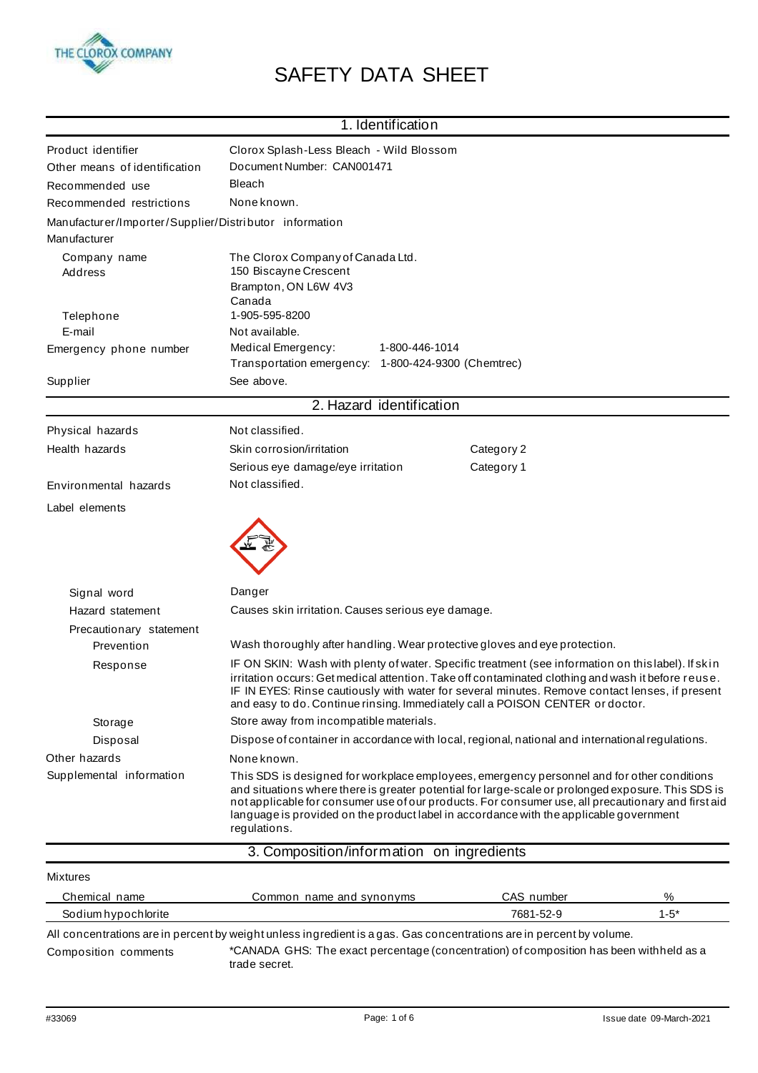

## SAFETY DATA SHEET

|                                                                        | 1. Identification                                                                                                                                                                                                                                                                                                                                                                                                |            |          |
|------------------------------------------------------------------------|------------------------------------------------------------------------------------------------------------------------------------------------------------------------------------------------------------------------------------------------------------------------------------------------------------------------------------------------------------------------------------------------------------------|------------|----------|
| Product identifier                                                     | Clorox Splash-Less Bleach - Wild Blossom                                                                                                                                                                                                                                                                                                                                                                         |            |          |
| Other means of identification                                          | Document Number: CAN001471                                                                                                                                                                                                                                                                                                                                                                                       |            |          |
| Recommended use                                                        | <b>Bleach</b>                                                                                                                                                                                                                                                                                                                                                                                                    |            |          |
| Recommended restrictions                                               | None known.                                                                                                                                                                                                                                                                                                                                                                                                      |            |          |
| Manufacturer/Importer/Supplier/Distributor information<br>Manufacturer |                                                                                                                                                                                                                                                                                                                                                                                                                  |            |          |
| Company name                                                           | The Clorox Company of Canada Ltd.                                                                                                                                                                                                                                                                                                                                                                                |            |          |
| Address                                                                | 150 Biscayne Crescent<br>Brampton, ON L6W 4V3<br>Canada                                                                                                                                                                                                                                                                                                                                                          |            |          |
| Telephone                                                              | 1-905-595-8200                                                                                                                                                                                                                                                                                                                                                                                                   |            |          |
| E-mail                                                                 | Not available.                                                                                                                                                                                                                                                                                                                                                                                                   |            |          |
| Emergency phone number                                                 | Medical Emergency:<br>1-800-446-1014                                                                                                                                                                                                                                                                                                                                                                             |            |          |
|                                                                        | Transportation emergency: 1-800-424-9300 (Chemtrec)                                                                                                                                                                                                                                                                                                                                                              |            |          |
| Supplier                                                               | See above.                                                                                                                                                                                                                                                                                                                                                                                                       |            |          |
|                                                                        | 2. Hazard identification                                                                                                                                                                                                                                                                                                                                                                                         |            |          |
| Physical hazards                                                       | Not classified.                                                                                                                                                                                                                                                                                                                                                                                                  |            |          |
| Health hazards                                                         | Skin corrosion/irritation                                                                                                                                                                                                                                                                                                                                                                                        | Category 2 |          |
|                                                                        | Serious eye damage/eye irritation                                                                                                                                                                                                                                                                                                                                                                                | Category 1 |          |
| Environmental hazards                                                  | Not classified.                                                                                                                                                                                                                                                                                                                                                                                                  |            |          |
| Label elements                                                         |                                                                                                                                                                                                                                                                                                                                                                                                                  |            |          |
|                                                                        |                                                                                                                                                                                                                                                                                                                                                                                                                  |            |          |
| Signal word                                                            | Danger                                                                                                                                                                                                                                                                                                                                                                                                           |            |          |
| Hazard statement                                                       | Causes skin irritation. Causes serious eye damage.                                                                                                                                                                                                                                                                                                                                                               |            |          |
| Precautionary statement                                                |                                                                                                                                                                                                                                                                                                                                                                                                                  |            |          |
| Prevention                                                             | Wash thoroughly after handling. Wear protective gloves and eye protection.                                                                                                                                                                                                                                                                                                                                       |            |          |
| Response                                                               | IF ON SKIN: Wash with plenty of water. Specific treatment (see information on this label). If skin<br>irritation occurs: Get medical attention. Take off contaminated clothing and wash it before reuse.<br>IF IN EYES: Rinse cautiously with water for several minutes. Remove contact lenses, if present<br>and easy to do. Continue rinsing. Immediately call a POISON CENTER or doctor.                      |            |          |
| Storage                                                                | Store away from incompatible materials.                                                                                                                                                                                                                                                                                                                                                                          |            |          |
| Disposal                                                               | Dispose of container in accordance with local, regional, national and international regulations.                                                                                                                                                                                                                                                                                                                 |            |          |
| Other hazards                                                          | None known.                                                                                                                                                                                                                                                                                                                                                                                                      |            |          |
| Supplemental information                                               | This SDS is designed for workplace employees, emergency personnel and for other conditions<br>and situations where there is greater potential for large-scale or prolonged exposure. This SDS is<br>not applicable for consumer use of our products. For consumer use, all precautionary and first aid<br>language is provided on the product label in accordance with the applicable government<br>regulations. |            |          |
|                                                                        | 3. Composition/information on ingredients                                                                                                                                                                                                                                                                                                                                                                        |            |          |
| Mixtures                                                               |                                                                                                                                                                                                                                                                                                                                                                                                                  |            |          |
| Chemical name                                                          | Common name and synonyms                                                                                                                                                                                                                                                                                                                                                                                         | CAS number | ℅        |
| Sodium hypochlorite                                                    |                                                                                                                                                                                                                                                                                                                                                                                                                  | 7681-52-9  | $1 - 5*$ |

All concentrations are in percent by weight unless ingredient is a gas. Gas concentrations are in percent by volume. Composition comments \*CANADA GHS: The exact percentage (concentration) of composition has been withheld as a trade secret.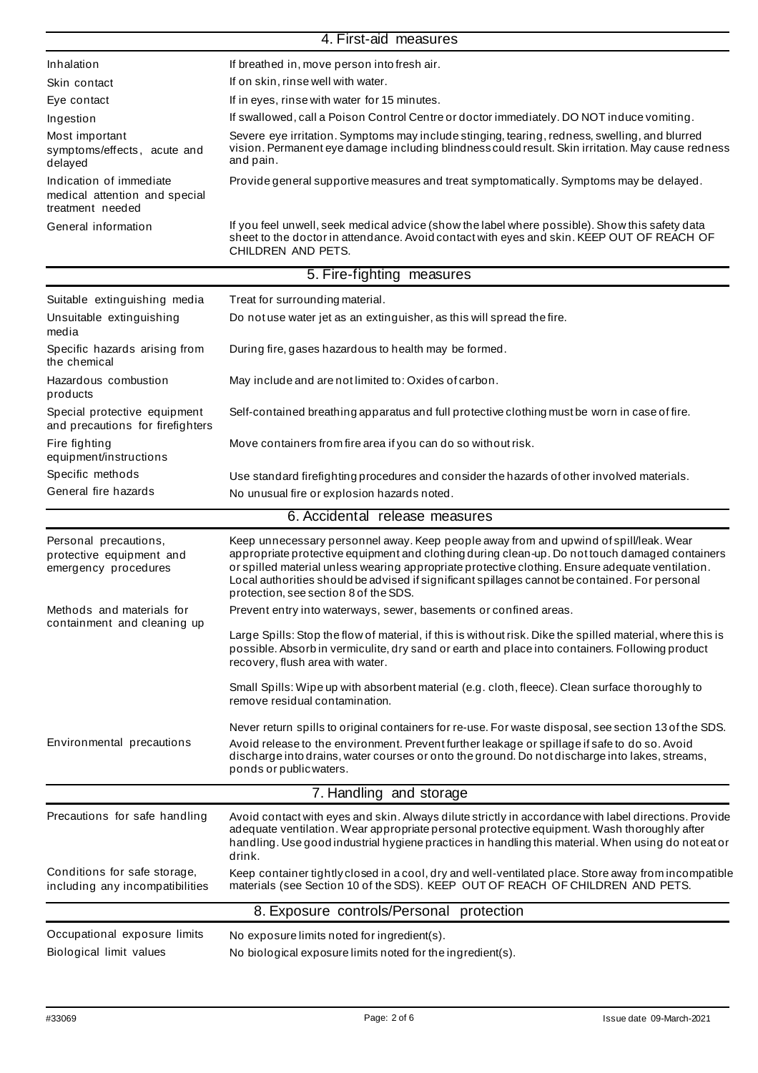|                                                                              | 4. First-aid measures                                                                                                                                                                                                                                                                                                                                                                                                                  |
|------------------------------------------------------------------------------|----------------------------------------------------------------------------------------------------------------------------------------------------------------------------------------------------------------------------------------------------------------------------------------------------------------------------------------------------------------------------------------------------------------------------------------|
| Inhalation                                                                   | If breathed in, move person into fresh air.                                                                                                                                                                                                                                                                                                                                                                                            |
| Skin contact                                                                 | If on skin, rinse well with water.                                                                                                                                                                                                                                                                                                                                                                                                     |
| Eye contact                                                                  | If in eyes, rinse with water for 15 minutes.                                                                                                                                                                                                                                                                                                                                                                                           |
| Ingestion                                                                    | If swallowed, call a Poison Control Centre or doctor immediately. DO NOT induce vomiting.                                                                                                                                                                                                                                                                                                                                              |
| Most important<br>symptoms/effects, acute and<br>delayed                     | Severe eye irritation. Symptoms may include stinging, tearing, redness, swelling, and blurred<br>vision. Permanent eye damage including blindness could result. Skin irritation. May cause redness<br>and pain.                                                                                                                                                                                                                        |
| Indication of immediate<br>medical attention and special<br>treatment needed | Provide general supportive measures and treat symptomatically. Symptoms may be delayed.                                                                                                                                                                                                                                                                                                                                                |
| General information                                                          | If you feel unwell, seek medical advice (show the label where possible). Show this safety data<br>sheet to the doctor in attendance. Avoid contact with eyes and skin. KEEP OUT OF REACH OF<br>CHILDREN AND PETS.                                                                                                                                                                                                                      |
|                                                                              | 5. Fire-fighting measures                                                                                                                                                                                                                                                                                                                                                                                                              |
| Suitable extinguishing media                                                 | Treat for surrounding material.                                                                                                                                                                                                                                                                                                                                                                                                        |
| Unsuitable extinguishing                                                     | Do not use water jet as an extinguisher, as this will spread the fire.                                                                                                                                                                                                                                                                                                                                                                 |
| media                                                                        |                                                                                                                                                                                                                                                                                                                                                                                                                                        |
| Specific hazards arising from<br>the chemical                                | During fire, gases hazardous to health may be formed.                                                                                                                                                                                                                                                                                                                                                                                  |
| Hazardous combustion<br>products                                             | May include and are not limited to: Oxides of carbon.                                                                                                                                                                                                                                                                                                                                                                                  |
| Special protective equipment<br>and precautions for firefighters             | Self-contained breathing apparatus and full protective clothing must be worn in case of fire.                                                                                                                                                                                                                                                                                                                                          |
| Fire fighting<br>equipment/instructions                                      | Move containers from fire area if you can do so without risk.                                                                                                                                                                                                                                                                                                                                                                          |
| Specific methods                                                             | Use standard firefighting procedures and consider the hazards of other involved materials.                                                                                                                                                                                                                                                                                                                                             |
| General fire hazards                                                         | No unusual fire or explosion hazards noted.                                                                                                                                                                                                                                                                                                                                                                                            |
|                                                                              | 6. Accidental release measures                                                                                                                                                                                                                                                                                                                                                                                                         |
| Personal precautions,<br>protective equipment and<br>emergency procedures    | Keep unnecessary personnel away. Keep people away from and upwind of spill/leak. Wear<br>appropriate protective equipment and clothing during clean-up. Do not touch damaged containers<br>or spilled material unless wearing appropriate protective clothing. Ensure adequate ventilation.<br>Local authorities should be advised if significant spillages cannot be contained. For personal<br>protection, see section 8 of the SDS. |
| Methods and materials for                                                    | Prevent entry into waterways, sewer, basements or confined areas.                                                                                                                                                                                                                                                                                                                                                                      |
| containment and cleaning up                                                  | Large Spills: Stop the flow of material, if this is without risk. Dike the spilled material, where this is<br>possible. Absorb in vermiculite, dry sand or earth and place into containers. Following product<br>recovery, flush area with water.                                                                                                                                                                                      |
|                                                                              | Small Spills: Wipe up with absorbent material (e.g. cloth, fleece). Clean surface thoroughly to<br>remove residual contamination.                                                                                                                                                                                                                                                                                                      |
| Environmental precautions                                                    | Never return spills to original containers for re-use. For waste disposal, see section 13 of the SDS.<br>Avoid release to the environment. Prevent further leakage or spillage if safe to do so. Avoid<br>discharge into drains, water courses or onto the ground. Do not discharge into lakes, streams,<br>ponds or public waters.                                                                                                    |
|                                                                              | 7. Handling and storage                                                                                                                                                                                                                                                                                                                                                                                                                |
| Precautions for safe handling                                                | Avoid contact with eyes and skin. Always dilute strictly in accordance with label directions. Provide<br>adequate ventilation. Wear appropriate personal protective equipment. Wash thoroughly after<br>handling. Use good industrial hygiene practices in handling this material. When using do not eat or<br>drink.                                                                                                                  |
| Conditions for safe storage,<br>including any incompatibilities              | Keep container tightly closed in a cool, dry and well-ventilated place. Store away from incompatible<br>materials (see Section 10 of the SDS). KEEP OUT OF REACH OF CHILDREN AND PETS.                                                                                                                                                                                                                                                 |
|                                                                              | 8. Exposure controls/Personal protection                                                                                                                                                                                                                                                                                                                                                                                               |
| Occupational exposure limits                                                 | No exposure limits noted for ingredient(s).                                                                                                                                                                                                                                                                                                                                                                                            |
| Biological limit values                                                      | No biological exposure limits noted for the ingredient(s).                                                                                                                                                                                                                                                                                                                                                                             |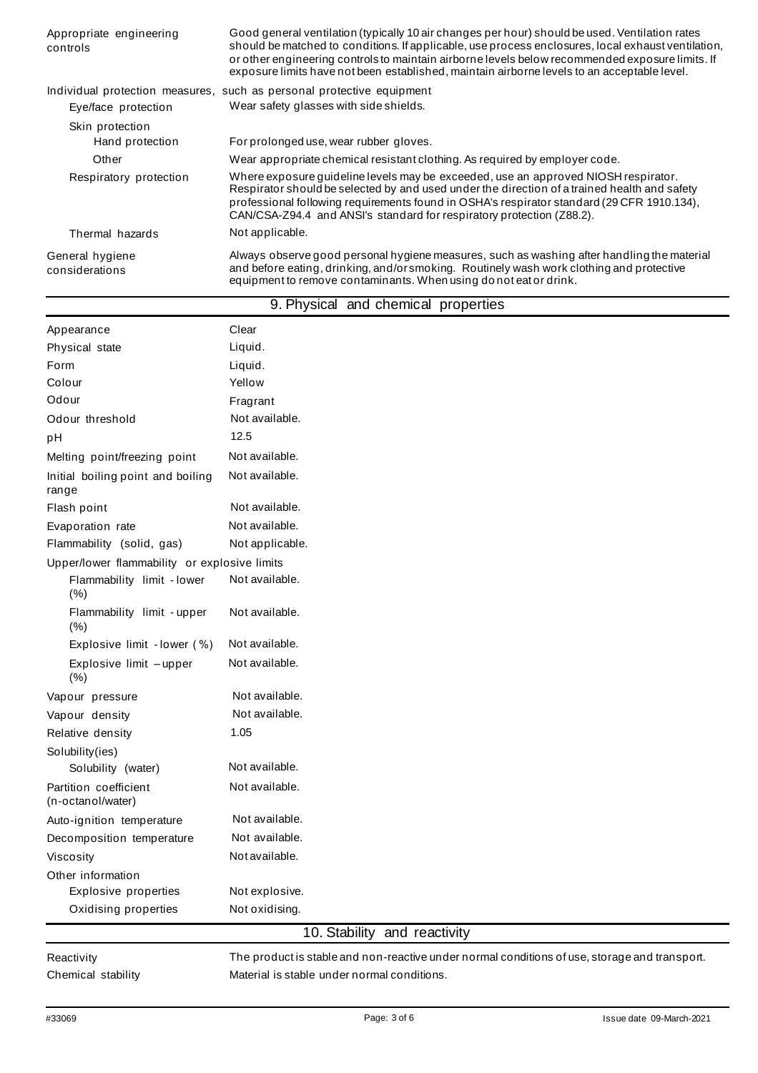| Appropriate engineering<br>controls | Good general ventilation (typically 10 air changes per hour) should be used. Ventilation rates<br>should be matched to conditions. If applicable, use process enclosures, local exhaust ventilation,<br>or other engineering controls to maintain airborne levels below recommended exposure limits. If<br>exposure limits have not been established, maintain airborne levels to an acceptable level. |
|-------------------------------------|--------------------------------------------------------------------------------------------------------------------------------------------------------------------------------------------------------------------------------------------------------------------------------------------------------------------------------------------------------------------------------------------------------|
| Eye/face protection                 | Individual protection measures, such as personal protective equipment<br>Wear safety glasses with side shields.                                                                                                                                                                                                                                                                                        |
| Skin protection<br>Hand protection  | For prolonged use, wear rubber gloves.                                                                                                                                                                                                                                                                                                                                                                 |
| Other                               | Wear appropriate chemical resistant clothing. As required by employer code.                                                                                                                                                                                                                                                                                                                            |
| Respiratory protection              | Where exposure guideline levels may be exceeded, use an approved NIOSH respirator.<br>Respirator should be selected by and used under the direction of a trained health and safety<br>professional following requirements found in OSHA's respirator standard (29 CFR 1910.134),<br>CAN/CSA-Z94.4 and ANSI's standard for respiratory protection (Z88.2).                                              |
| Thermal hazards                     | Not applicable.                                                                                                                                                                                                                                                                                                                                                                                        |
| General hygiene<br>considerations   | Always observe good personal hygiene measures, such as washing after handling the material<br>and before eating, drinking, and/orsmoking. Routinely wash work clothing and protective<br>equipment to remove contaminants. When using donot eat or drink.                                                                                                                                              |

|                                              |                 | 9. Physical and chemical properties |  |
|----------------------------------------------|-----------------|-------------------------------------|--|
| Appearance                                   | Clear           |                                     |  |
| Physical state                               | Liquid.         |                                     |  |
| Form                                         | Liquid.         |                                     |  |
| Colour                                       | Yellow          |                                     |  |
| Odour                                        | Fragrant        |                                     |  |
| Odour threshold                              | Not available.  |                                     |  |
| pH                                           | 12.5            |                                     |  |
| Melting point/freezing point                 | Not available.  |                                     |  |
| Initial boiling point and boiling<br>range   | Not available.  |                                     |  |
| Flash point                                  | Not available.  |                                     |  |
| Evaporation rate                             | Not available.  |                                     |  |
| Flammability (solid, gas)                    | Not applicable. |                                     |  |
| Upper/lower flammability or explosive limits |                 |                                     |  |
| Flammability limit - lower<br>(% )           | Not available.  |                                     |  |
| Flammability limit - upper<br>(% )           | Not available.  |                                     |  |
| Explosive limit - lower (%)                  | Not available.  |                                     |  |
| Explosive limit -upper<br>(% )               | Not available.  |                                     |  |
| Vapour pressure                              | Not available.  |                                     |  |
| Vapour density                               | Not available.  |                                     |  |
| Relative density                             | 1.05            |                                     |  |
| Solubility(ies)                              |                 |                                     |  |
| Solubility (water)                           | Not available.  |                                     |  |
| Partition coefficient<br>(n-octanol/water)   | Not available.  |                                     |  |
| Auto-ignition temperature                    | Not available.  |                                     |  |
| Decomposition temperature                    | Not available.  |                                     |  |
| Viscosity                                    | Not available.  |                                     |  |
| Other information                            |                 |                                     |  |
| Explosive properties                         | Not explosive.  |                                     |  |
| Oxidising properties                         | Not oxidising.  |                                     |  |
|                                              |                 | 10. Stability and reactivity        |  |

Reactivity Chemical stability The product is stable and non-reactive under normal conditions of use, storage and transport. Material is stable under normal conditions.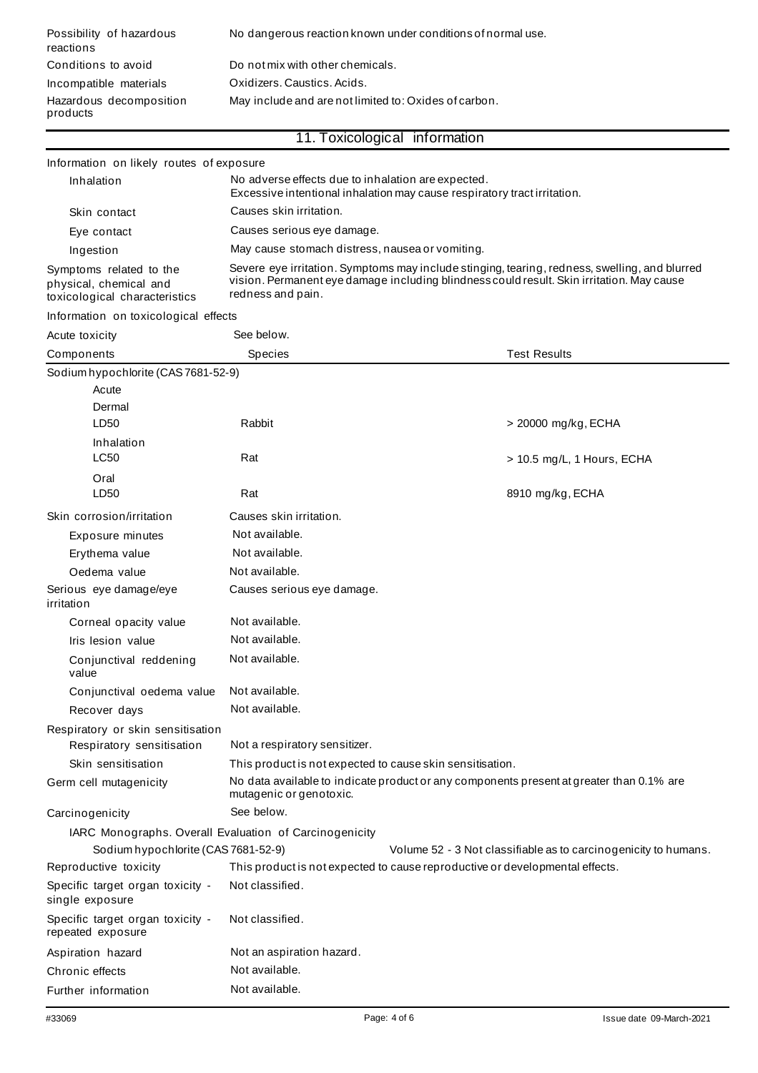| Possibility of hazardous<br>reactions | No dangerous reaction known under conditions of normal use. |
|---------------------------------------|-------------------------------------------------------------|
| Conditions to avoid                   | Do not mix with other chemicals.                            |
| Incompatible materials                | Oxidizers, Caustics, Acids.                                 |
| Hazardous decomposition<br>products   | May include and are not limited to: Oxides of carbon.       |

| 11. Toxicological information |  |  |
|-------------------------------|--|--|
|                               |  |  |
|                               |  |  |
|                               |  |  |

| Information on likely routes of exposure                                           |                                                                                                                                                                                                                 |                                                                                          |
|------------------------------------------------------------------------------------|-----------------------------------------------------------------------------------------------------------------------------------------------------------------------------------------------------------------|------------------------------------------------------------------------------------------|
| Inhalation                                                                         | No adverse effects due to inhalation are expected.                                                                                                                                                              | Excessive intentional inhalation may cause respiratory tract irritation.                 |
| Skin contact                                                                       | Causes skin irritation.                                                                                                                                                                                         |                                                                                          |
| Eye contact                                                                        | Causes serious eye damage.                                                                                                                                                                                      |                                                                                          |
| Ingestion                                                                          | May cause stomach distress, nausea or vomiting.                                                                                                                                                                 |                                                                                          |
| Symptoms related to the<br>physical, chemical and<br>toxicological characteristics | Severe eye irritation. Symptoms may include stinging, tearing, redness, swelling, and blurred<br>vision. Permanent eye damage including blindness could result. Skin irritation. May cause<br>redness and pain. |                                                                                          |
| Information on toxicological effects                                               |                                                                                                                                                                                                                 |                                                                                          |
| Acute toxicity                                                                     | See below.                                                                                                                                                                                                      |                                                                                          |
| Components                                                                         | Species                                                                                                                                                                                                         | <b>Test Results</b>                                                                      |
| Sodium hypochlorite (CAS 7681-52-9)                                                |                                                                                                                                                                                                                 |                                                                                          |
| Acute                                                                              |                                                                                                                                                                                                                 |                                                                                          |
| Dermal                                                                             |                                                                                                                                                                                                                 |                                                                                          |
| LD50                                                                               | Rabbit                                                                                                                                                                                                          | > 20000 mg/kg, ECHA                                                                      |
| Inhalation                                                                         |                                                                                                                                                                                                                 |                                                                                          |
| <b>LC50</b>                                                                        | Rat                                                                                                                                                                                                             | > 10.5 mg/L, 1 Hours, ECHA                                                               |
| Oral                                                                               |                                                                                                                                                                                                                 |                                                                                          |
| LD <sub>50</sub>                                                                   | Rat                                                                                                                                                                                                             | 8910 mg/kg, ECHA                                                                         |
| Skin corrosion/irritation                                                          | Causes skin irritation.                                                                                                                                                                                         |                                                                                          |
| Exposure minutes                                                                   | Not available.                                                                                                                                                                                                  |                                                                                          |
| Erythema value                                                                     | Not available.                                                                                                                                                                                                  |                                                                                          |
| Oedema value                                                                       | Not available.                                                                                                                                                                                                  |                                                                                          |
| Serious eye damage/eye<br>irritation                                               | Causes serious eye damage.                                                                                                                                                                                      |                                                                                          |
| Corneal opacity value                                                              | Not available.                                                                                                                                                                                                  |                                                                                          |
| Iris lesion value                                                                  | Not available.                                                                                                                                                                                                  |                                                                                          |
| Conjunctival reddening<br>value                                                    | Not available.                                                                                                                                                                                                  |                                                                                          |
| Conjunctival oedema value                                                          | Not available.                                                                                                                                                                                                  |                                                                                          |
| Recover days                                                                       | Not available.                                                                                                                                                                                                  |                                                                                          |
| Respiratory or skin sensitisation                                                  |                                                                                                                                                                                                                 |                                                                                          |
| Respiratory sensitisation                                                          | Not a respiratory sensitizer.                                                                                                                                                                                   |                                                                                          |
| Skin sensitisation                                                                 | This product is not expected to cause skin sensitisation.                                                                                                                                                       |                                                                                          |
| Germ cell mutagenicity                                                             | mutagenic or genotoxic.                                                                                                                                                                                         | No data available to indicate product or any components present at greater than 0.1% are |
| Carcinogenicity                                                                    | See below.                                                                                                                                                                                                      |                                                                                          |
| IARC Monographs. Overall Evaluation of Carcinogenicity                             |                                                                                                                                                                                                                 |                                                                                          |
| Sodium hypochlorite (CAS 7681-52-9)                                                |                                                                                                                                                                                                                 | Volume 52 - 3 Not classifiable as to carcinogenicity to humans.                          |
| Reproductive toxicity                                                              |                                                                                                                                                                                                                 | This product is not expected to cause reproductive or developmental effects.             |
| Specific target organ toxicity -<br>single exposure                                | Not classified.                                                                                                                                                                                                 |                                                                                          |
| Specific target organ toxicity -<br>repeated exposure                              | Not classified.                                                                                                                                                                                                 |                                                                                          |
| Aspiration hazard                                                                  | Not an aspiration hazard.                                                                                                                                                                                       |                                                                                          |
| Chronic effects                                                                    | Not available.                                                                                                                                                                                                  |                                                                                          |
| Further information                                                                | Not available.                                                                                                                                                                                                  |                                                                                          |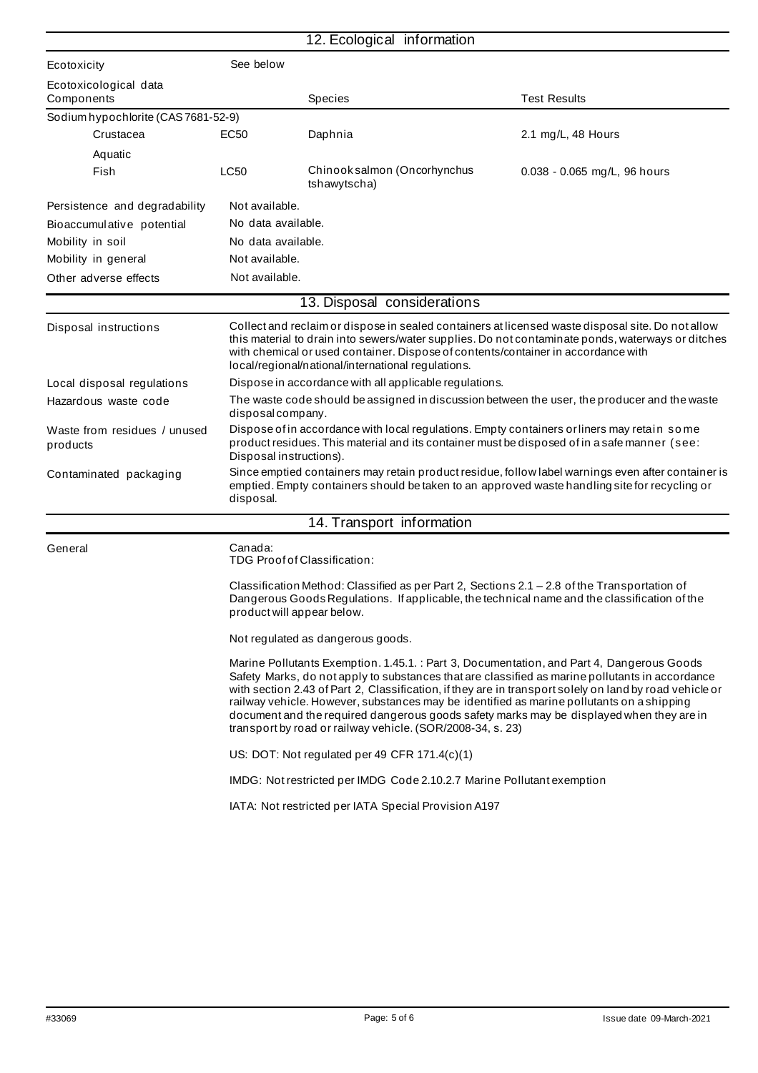|                                          |                                                                                                                                                                                                                        | 12. Ecological information                                                                                                                                                                                                                                                                                                                                                                                                                          |                                                                                                                                                                                                        |
|------------------------------------------|------------------------------------------------------------------------------------------------------------------------------------------------------------------------------------------------------------------------|-----------------------------------------------------------------------------------------------------------------------------------------------------------------------------------------------------------------------------------------------------------------------------------------------------------------------------------------------------------------------------------------------------------------------------------------------------|--------------------------------------------------------------------------------------------------------------------------------------------------------------------------------------------------------|
| Ecotoxicity                              | See below                                                                                                                                                                                                              |                                                                                                                                                                                                                                                                                                                                                                                                                                                     |                                                                                                                                                                                                        |
| Ecotoxicological data<br>Components      |                                                                                                                                                                                                                        | <b>Species</b>                                                                                                                                                                                                                                                                                                                                                                                                                                      | <b>Test Results</b>                                                                                                                                                                                    |
| Sodium hypochlorite (CAS 7681-52-9)      |                                                                                                                                                                                                                        |                                                                                                                                                                                                                                                                                                                                                                                                                                                     |                                                                                                                                                                                                        |
| Crustacea                                | EC50                                                                                                                                                                                                                   | Daphnia                                                                                                                                                                                                                                                                                                                                                                                                                                             | 2.1 mg/L, 48 Hours                                                                                                                                                                                     |
| Aquatic                                  |                                                                                                                                                                                                                        |                                                                                                                                                                                                                                                                                                                                                                                                                                                     |                                                                                                                                                                                                        |
| Fish                                     | LC50                                                                                                                                                                                                                   | Chinook salmon (Oncorhynchus<br>tshawytscha)                                                                                                                                                                                                                                                                                                                                                                                                        | 0.038 - 0.065 mg/L, 96 hours                                                                                                                                                                           |
| Persistence and degradability            | Not available.                                                                                                                                                                                                         |                                                                                                                                                                                                                                                                                                                                                                                                                                                     |                                                                                                                                                                                                        |
| Bioaccumulative potential                | No data available.                                                                                                                                                                                                     |                                                                                                                                                                                                                                                                                                                                                                                                                                                     |                                                                                                                                                                                                        |
| Mobility in soil                         | No data available.                                                                                                                                                                                                     |                                                                                                                                                                                                                                                                                                                                                                                                                                                     |                                                                                                                                                                                                        |
| Mobility in general                      | Not available.                                                                                                                                                                                                         |                                                                                                                                                                                                                                                                                                                                                                                                                                                     |                                                                                                                                                                                                        |
| Other adverse effects                    | Not available.                                                                                                                                                                                                         |                                                                                                                                                                                                                                                                                                                                                                                                                                                     |                                                                                                                                                                                                        |
|                                          |                                                                                                                                                                                                                        | 13. Disposal considerations                                                                                                                                                                                                                                                                                                                                                                                                                         |                                                                                                                                                                                                        |
| Disposal instructions                    |                                                                                                                                                                                                                        | with chemical or used container. Dispose of contents/container in accordance with<br>local/regional/national/international regulations.                                                                                                                                                                                                                                                                                                             | Collect and reclaim or dispose in sealed containers at licensed waste disposal site. Do not allow<br>this material to drain into sewers/water supplies. Do not contaminate ponds, waterways or ditches |
| Local disposal regulations               |                                                                                                                                                                                                                        | Dispose in accordance with all applicable regulations.                                                                                                                                                                                                                                                                                                                                                                                              |                                                                                                                                                                                                        |
| Hazardous waste code                     | disposal company.                                                                                                                                                                                                      |                                                                                                                                                                                                                                                                                                                                                                                                                                                     | The waste code should be assigned in discussion between the user, the producer and the waste                                                                                                           |
| Waste from residues / unused<br>products | Dispose of in accordance with local regulations. Empty containers or liners may retain some<br>product residues. This material and its container must be disposed of in a safe manner (see:<br>Disposal instructions). |                                                                                                                                                                                                                                                                                                                                                                                                                                                     |                                                                                                                                                                                                        |
| Contaminated packaging                   | disposal.                                                                                                                                                                                                              | emptied. Empty containers should be taken to an approved waste handling site for recycling or                                                                                                                                                                                                                                                                                                                                                       | Since emptied containers may retain product residue, follow label warnings even after container is                                                                                                     |
|                                          |                                                                                                                                                                                                                        | 14. Transport information                                                                                                                                                                                                                                                                                                                                                                                                                           |                                                                                                                                                                                                        |
| General                                  | Canada:                                                                                                                                                                                                                | TDG Proof of Classification:                                                                                                                                                                                                                                                                                                                                                                                                                        |                                                                                                                                                                                                        |
|                                          | product will appear below.                                                                                                                                                                                             | Classification Method: Classified as per Part 2, Sections 2.1 - 2.8 of the Transportation of<br>Dangerous Goods Regulations. If applicable, the technical name and the classification of the                                                                                                                                                                                                                                                        |                                                                                                                                                                                                        |
|                                          |                                                                                                                                                                                                                        | Not regulated as dangerous goods.                                                                                                                                                                                                                                                                                                                                                                                                                   |                                                                                                                                                                                                        |
|                                          |                                                                                                                                                                                                                        | Marine Pollutants Exemption. 1.45.1. : Part 3, Documentation, and Part 4, Dangerous Goods<br>Safety Marks, do not apply to substances that are classified as marine pollutants in accordance<br>railway vehicle. However, substances may be identified as marine pollutants on a shipping<br>document and the required dangerous goods safety marks may be displayed when they are in<br>transport by road or railway vehicle. (SOR/2008-34, s. 23) | with section 2.43 of Part 2, Classification, if they are in transport solely on land by road vehicle or                                                                                                |
|                                          |                                                                                                                                                                                                                        | US: DOT: Not regulated per 49 CFR 171.4(c)(1)                                                                                                                                                                                                                                                                                                                                                                                                       |                                                                                                                                                                                                        |
|                                          |                                                                                                                                                                                                                        | IMDG: Not restricted per IMDG Code 2.10.2.7 Marine Pollutant exemption                                                                                                                                                                                                                                                                                                                                                                              |                                                                                                                                                                                                        |
|                                          |                                                                                                                                                                                                                        | IATA: Not restricted per IATA Special Provision A197                                                                                                                                                                                                                                                                                                                                                                                                |                                                                                                                                                                                                        |
|                                          |                                                                                                                                                                                                                        |                                                                                                                                                                                                                                                                                                                                                                                                                                                     |                                                                                                                                                                                                        |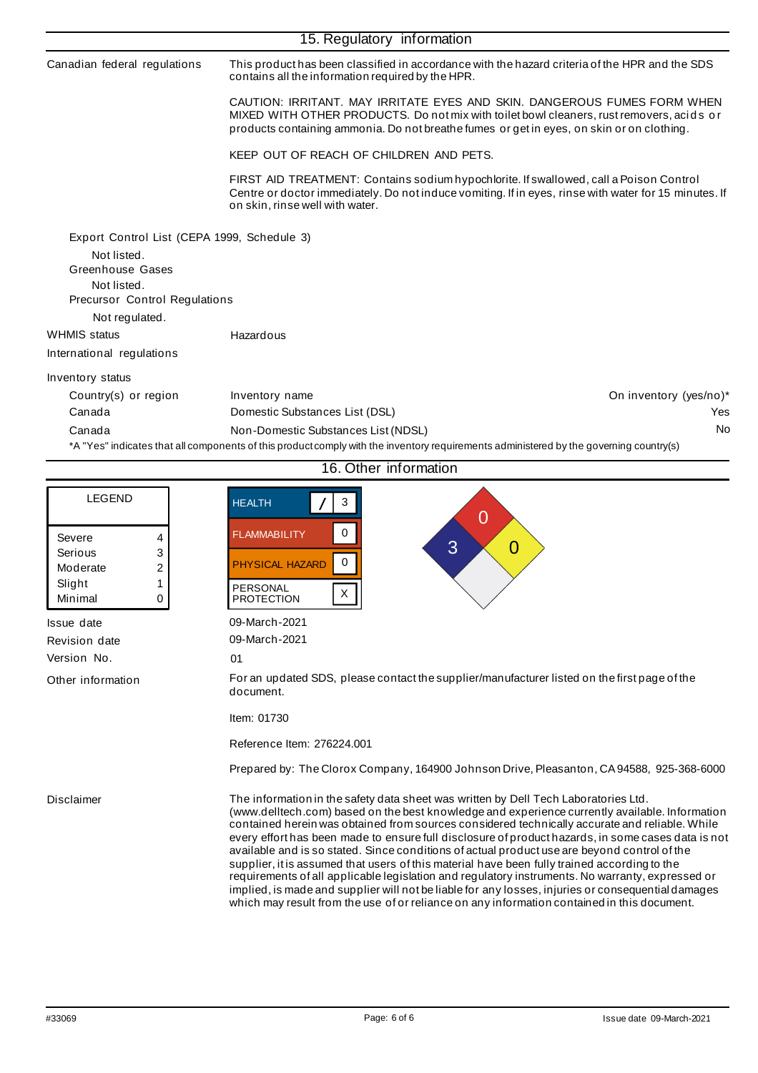|                                              | 15. Regulatory information                                                                                                                                                                                                                                        |                        |
|----------------------------------------------|-------------------------------------------------------------------------------------------------------------------------------------------------------------------------------------------------------------------------------------------------------------------|------------------------|
| Canadian federal regulations                 | This product has been classified in accordance with the hazard criteria of the HPR and the SDS<br>contains all the information required by the HPR.                                                                                                               |                        |
|                                              | CAUTION: IRRITANT, MAY IRRITATE EYES AND SKIN, DANGEROUS FUMES FORM WHEN<br>MIXED WITH OTHER PRODUCTS. Do not mix with toilet bowl cleaners, rust removers, acids or<br>products containing ammonia. Do not breathe fumes or get in eyes, on skin or on clothing. |                        |
|                                              | KEEP OUT OF REACH OF CHILDREN AND PETS.                                                                                                                                                                                                                           |                        |
|                                              | FIRST AID TREATMENT: Contains sodium hypochlorite. If swallowed, call a Poison Control<br>Centre or doctor immediately. Do not induce vomiting. If in eyes, rinse with water for 15 minutes. If<br>on skin, rinse well with water.                                |                        |
| Export Control List (CEPA 1999, Schedule 3)  |                                                                                                                                                                                                                                                                   |                        |
| Not listed.<br>Greenhouse Gases              |                                                                                                                                                                                                                                                                   |                        |
| Not listed.<br>Precursor Control Regulations |                                                                                                                                                                                                                                                                   |                        |
| Not regulated.                               |                                                                                                                                                                                                                                                                   |                        |
| <b>WHMIS</b> status                          | Hazardous                                                                                                                                                                                                                                                         |                        |
| International regulations                    |                                                                                                                                                                                                                                                                   |                        |
| Inventory status                             |                                                                                                                                                                                                                                                                   |                        |
| Country(s) or region                         | Inventory name                                                                                                                                                                                                                                                    | On inventory (yes/no)* |
| Canada                                       | Domestic Substances List (DSL)                                                                                                                                                                                                                                    | Yes                    |
| Canada                                       | Non-Domestic Substances List (NDSL)                                                                                                                                                                                                                               | No                     |

Canada Non-Domestic Substances List (NDSL)

\*A "Yes" indicates that all components of this product comply with the inventory requirements administered by the governing country(s)

|                                                                        | 16. Other information                                                                                                                                                                                                                                                                                                                                                                                                                                                                                                                                                                                                                                                                                                                                                                                                                                                                                  |
|------------------------------------------------------------------------|--------------------------------------------------------------------------------------------------------------------------------------------------------------------------------------------------------------------------------------------------------------------------------------------------------------------------------------------------------------------------------------------------------------------------------------------------------------------------------------------------------------------------------------------------------------------------------------------------------------------------------------------------------------------------------------------------------------------------------------------------------------------------------------------------------------------------------------------------------------------------------------------------------|
| <b>LEGEND</b>                                                          | 3<br><b>HEALTH</b><br>$\overline{0}$                                                                                                                                                                                                                                                                                                                                                                                                                                                                                                                                                                                                                                                                                                                                                                                                                                                                   |
| Severe<br>4<br>3<br>Serious<br>2<br>Moderate<br>Slight<br>Minimal<br>0 | 0<br><b>FLAMMABILITY</b><br>3<br>$\overline{0}$<br>$\mathbf 0$<br><b>PHYSICAL HAZARD</b><br><b>PERSONAL</b><br>X<br><b>PROTECTION</b>                                                                                                                                                                                                                                                                                                                                                                                                                                                                                                                                                                                                                                                                                                                                                                  |
| Issue date<br>Revision date                                            | 09-March-2021<br>09-March-2021                                                                                                                                                                                                                                                                                                                                                                                                                                                                                                                                                                                                                                                                                                                                                                                                                                                                         |
| Version No.                                                            | 01                                                                                                                                                                                                                                                                                                                                                                                                                                                                                                                                                                                                                                                                                                                                                                                                                                                                                                     |
| Other information                                                      | For an updated SDS, please contact the supplier/manufacturer listed on the first page of the<br>document.                                                                                                                                                                                                                                                                                                                                                                                                                                                                                                                                                                                                                                                                                                                                                                                              |
|                                                                        | Item: 01730                                                                                                                                                                                                                                                                                                                                                                                                                                                                                                                                                                                                                                                                                                                                                                                                                                                                                            |
|                                                                        | Reference Item: 276224.001                                                                                                                                                                                                                                                                                                                                                                                                                                                                                                                                                                                                                                                                                                                                                                                                                                                                             |
|                                                                        | Prepared by: The Clorox Company, 164900 Johnson Drive, Pleasanton, CA 94588, 925-368-6000                                                                                                                                                                                                                                                                                                                                                                                                                                                                                                                                                                                                                                                                                                                                                                                                              |
| Disclaimer                                                             | The information in the safety data sheet was written by Dell Tech Laboratories Ltd.<br>(www.delltech.com) based on the best knowledge and experience currently available. Information<br>contained herein was obtained from sources considered technically accurate and reliable. While<br>every effort has been made to ensure full disclosure of product hazards, in some cases data is not<br>available and is so stated. Since conditions of actual product use are beyond control of the<br>supplier, it is assumed that users of this material have been fully trained according to the<br>requirements of all applicable legislation and regulatory instruments. No warranty, expressed or<br>implied, is made and supplier will not be liable for any losses, injuries or consequential damages<br>which may result from the use of or reliance on any information contained in this document. |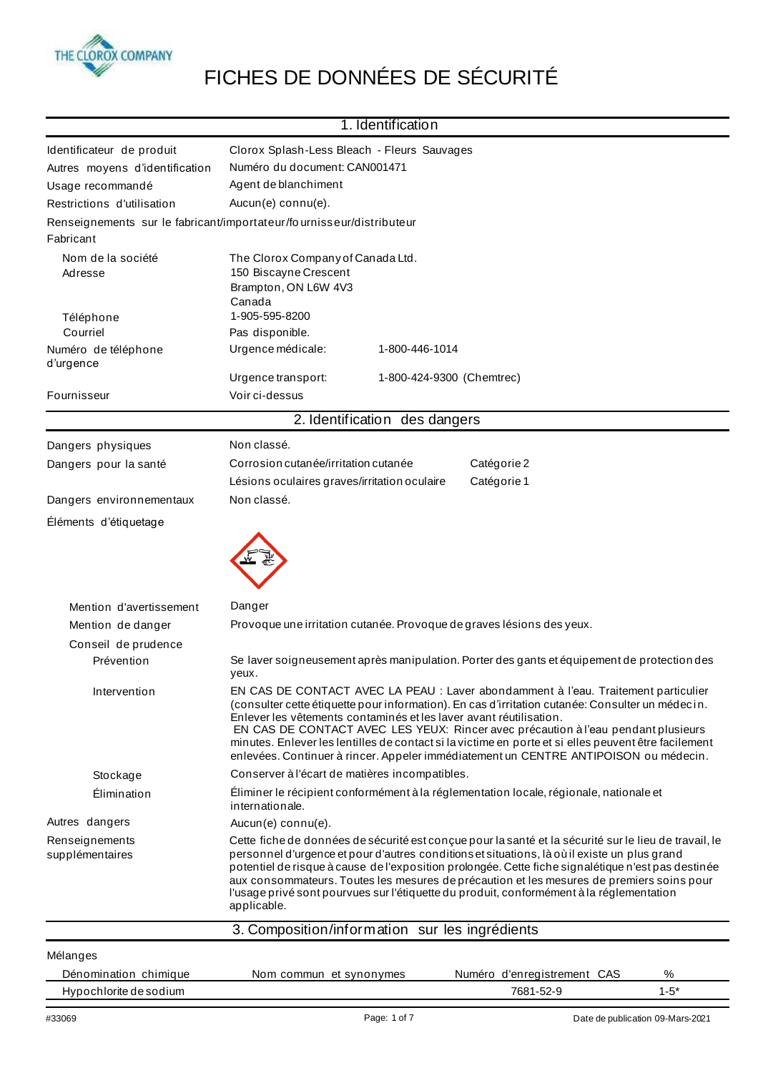

## FICHES DE DONNÉES DE SÉCURITÉ

|                                                   | 1. Identification                                                                                                                                                                                                                                                                                                                                                                                                                                                                                                                                 |  |
|---------------------------------------------------|---------------------------------------------------------------------------------------------------------------------------------------------------------------------------------------------------------------------------------------------------------------------------------------------------------------------------------------------------------------------------------------------------------------------------------------------------------------------------------------------------------------------------------------------------|--|
| Identificateur de produit                         | Clorox Splash-Less Bleach - Fleurs Sauvages                                                                                                                                                                                                                                                                                                                                                                                                                                                                                                       |  |
| Autres moyens d'identification                    | Numéro du document: CAN001471                                                                                                                                                                                                                                                                                                                                                                                                                                                                                                                     |  |
| Usage recommandé                                  | Agent de blanchiment                                                                                                                                                                                                                                                                                                                                                                                                                                                                                                                              |  |
| Restrictions d'utilisation                        | Aucun(e) connu(e).                                                                                                                                                                                                                                                                                                                                                                                                                                                                                                                                |  |
|                                                   | Renseignements sur le fabricant/importateur/fournisseur/distributeur                                                                                                                                                                                                                                                                                                                                                                                                                                                                              |  |
| Fabricant                                         |                                                                                                                                                                                                                                                                                                                                                                                                                                                                                                                                                   |  |
| Nom de la société                                 | The Clorox Company of Canada Ltd.                                                                                                                                                                                                                                                                                                                                                                                                                                                                                                                 |  |
| Adresse                                           | 150 Biscayne Crescent                                                                                                                                                                                                                                                                                                                                                                                                                                                                                                                             |  |
|                                                   | Brampton, ON L6W 4V3                                                                                                                                                                                                                                                                                                                                                                                                                                                                                                                              |  |
| Téléphone                                         | Canada<br>1-905-595-8200                                                                                                                                                                                                                                                                                                                                                                                                                                                                                                                          |  |
| Courriel                                          | Pas disponible.                                                                                                                                                                                                                                                                                                                                                                                                                                                                                                                                   |  |
| Numéro de téléphone<br>d'urgence                  | Urgence médicale:<br>1-800-446-1014                                                                                                                                                                                                                                                                                                                                                                                                                                                                                                               |  |
|                                                   | Urgence transport:<br>1-800-424-9300 (Chemtrec)                                                                                                                                                                                                                                                                                                                                                                                                                                                                                                   |  |
| Fournisseur                                       | Voir ci-dessus                                                                                                                                                                                                                                                                                                                                                                                                                                                                                                                                    |  |
|                                                   | 2. Identification des dangers                                                                                                                                                                                                                                                                                                                                                                                                                                                                                                                     |  |
|                                                   |                                                                                                                                                                                                                                                                                                                                                                                                                                                                                                                                                   |  |
| Dangers physiques                                 | Non classé.                                                                                                                                                                                                                                                                                                                                                                                                                                                                                                                                       |  |
| Dangers pour la santé                             | Corrosion cutanée/irritation cutanée<br>Catégorie 2                                                                                                                                                                                                                                                                                                                                                                                                                                                                                               |  |
|                                                   | Catégorie 1<br>Lésions oculaires graves/irritation oculaire                                                                                                                                                                                                                                                                                                                                                                                                                                                                                       |  |
| Dangers environnementaux<br>Éléments d'étiquetage | Non classé.                                                                                                                                                                                                                                                                                                                                                                                                                                                                                                                                       |  |
|                                                   |                                                                                                                                                                                                                                                                                                                                                                                                                                                                                                                                                   |  |
| Mention d'avertissement                           | Danger                                                                                                                                                                                                                                                                                                                                                                                                                                                                                                                                            |  |
| Mention de danger                                 | Provoque une irritation cutanée. Provoque de graves lésions des yeux.                                                                                                                                                                                                                                                                                                                                                                                                                                                                             |  |
| Conseil de prudence                               |                                                                                                                                                                                                                                                                                                                                                                                                                                                                                                                                                   |  |
| Prévention                                        | Se laver soigneusement après manipulation. Porter des gants et équipement de protection des<br>yeux.                                                                                                                                                                                                                                                                                                                                                                                                                                              |  |
| Intervention                                      | EN CAS DE CONTACT AVEC LA PEAU : Laver abondamment à l'eau. Traitement particulier<br>(consulter cette étiquette pour information). En cas d'irritation cutanée: Consulter un médecin.<br>Enlever les vêtements contaminés et les laver avant réutilisation.<br>EN CAS DE CONTACT AVEC LES YEUX: Rincer avec précaution à l'eau pendant plusieurs<br>minutes. Enlever les lentilles de contact si la victime en porte et si elles peuvent être facilement<br>enlevées. Continuer à rincer. Appeler immédiatement un CENTRE ANTIPOISON ou médecin. |  |
| Stockage                                          | Conserver à l'écart de matières incompatibles.                                                                                                                                                                                                                                                                                                                                                                                                                                                                                                    |  |
| Élimination                                       | Éliminer le récipient conformément à la réglementation locale, régionale, nationale et<br>internationale.                                                                                                                                                                                                                                                                                                                                                                                                                                         |  |
| Autres dangers                                    | Aucun(e) connu(e).                                                                                                                                                                                                                                                                                                                                                                                                                                                                                                                                |  |
| Renseignements<br>supplémentaires                 | Cette fiche de données de sécurité est conçue pour la santé et la sécurité sur le lieu de travail, le<br>personnel d'urgence et pour d'autres conditions et situations, là où il existe un plus grand<br>potentiel de risque à cause de l'exposition prolongée. Cette fiche signalétique n'est pas destinée<br>aux consommateurs. Toutes les mesures de précaution et les mesures de premiers soins pour<br>l'usage privé sont pourvues sur l'étiquette du produit, conformément à la réglementation<br>applicable.                               |  |
|                                                   | 3. Composition/information sur les ingrédients                                                                                                                                                                                                                                                                                                                                                                                                                                                                                                    |  |
| Mélanges                                          |                                                                                                                                                                                                                                                                                                                                                                                                                                                                                                                                                   |  |
| Dénomination chimique                             | Numéro d'enregistrement CAS<br>%<br>Nom commun et synonymes                                                                                                                                                                                                                                                                                                                                                                                                                                                                                       |  |
| Hypochlorite de sodium                            | $1 - 5*$<br>7681-52-9                                                                                                                                                                                                                                                                                                                                                                                                                                                                                                                             |  |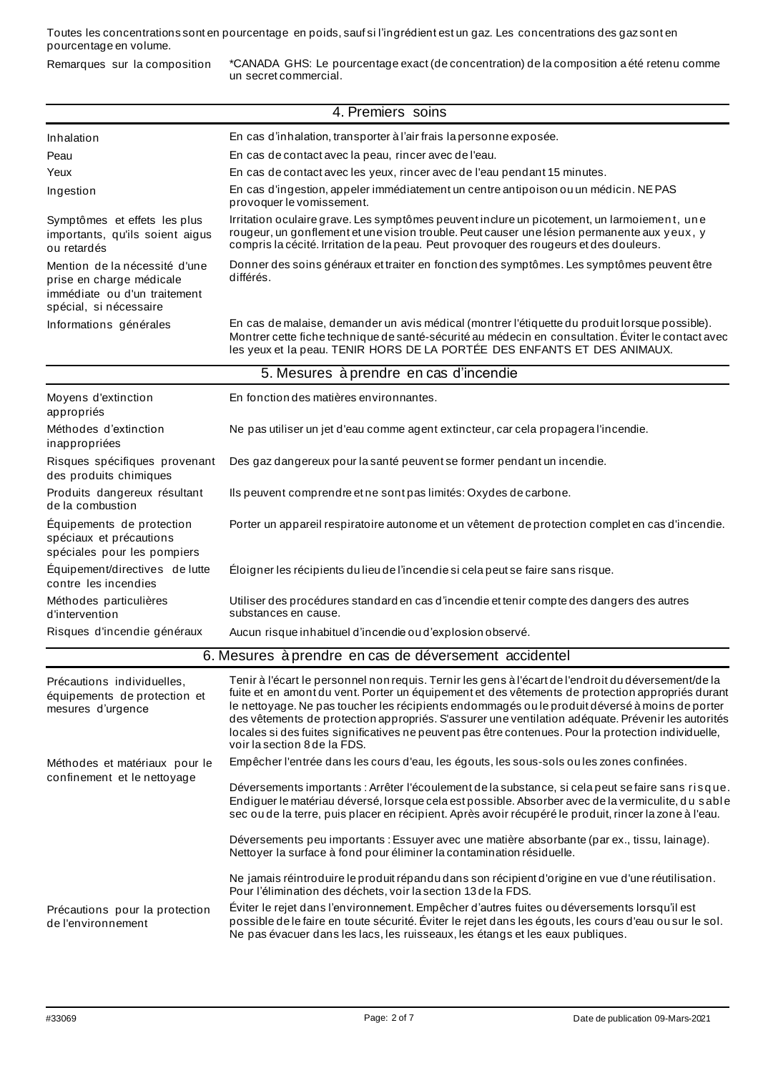Toutes les concentrations sont en pourcentage en poids, sauf si l'ingrédient est un gaz. Les concentrations des gaz sont en pourcentage en volume.

Remarques sur la composition \*CANADA GHS: Le pourcentage exact (de concentration) de la composition a été retenu comme un secret commercial.

|                                                                                                                     | 4. Premiers soins                                                                                                                                                                                                                                                                                                                                                                                                                                                                                                                                        |
|---------------------------------------------------------------------------------------------------------------------|----------------------------------------------------------------------------------------------------------------------------------------------------------------------------------------------------------------------------------------------------------------------------------------------------------------------------------------------------------------------------------------------------------------------------------------------------------------------------------------------------------------------------------------------------------|
| Inhalation                                                                                                          | En cas d'inhalation, transporter à l'air frais la personne exposée.                                                                                                                                                                                                                                                                                                                                                                                                                                                                                      |
| Peau                                                                                                                | En cas de contact avec la peau, rincer avec de l'eau.                                                                                                                                                                                                                                                                                                                                                                                                                                                                                                    |
| Yeux                                                                                                                | En cas de contact avec les yeux, rincer avec de l'eau pendant 15 minutes.                                                                                                                                                                                                                                                                                                                                                                                                                                                                                |
| Ingestion                                                                                                           | En cas d'ingestion, appeler immédiatement un centre antipoison ou un médicin. NE PAS<br>provoquer le vomissement.                                                                                                                                                                                                                                                                                                                                                                                                                                        |
| Symptômes et effets les plus<br>importants, qu'ils soient aigus<br>ou retardés                                      | Irritation oculaire grave. Les symptômes peuvent inclure un picotement, un larmoiement, une<br>rougeur, un gonflement et une vision trouble. Peut causer une lésion permanente aux yeux, y<br>compris la cécité. Irritation de la peau. Peut provoquer des rougeurs et des douleurs.                                                                                                                                                                                                                                                                     |
| Mention de la nécessité d'une<br>prise en charge médicale<br>immédiate ou d'un traitement<br>spécial, si nécessaire | Donner des soins généraux et traiter en fonction des symptômes. Les symptômes peuvent être<br>différés.                                                                                                                                                                                                                                                                                                                                                                                                                                                  |
| Informations générales                                                                                              | En cas de malaise, demander un avis médical (montrer l'étiquette du produit lorsque possible).<br>Montrer cette fiche technique de santé-sécurité au médecin en consultation. Éviter le contact avec<br>les yeux et la peau. TENIR HORS DE LA PORTÉE DES ENFANTS ET DES ANIMAUX.                                                                                                                                                                                                                                                                         |
|                                                                                                                     | 5. Mesures à prendre en cas d'incendie                                                                                                                                                                                                                                                                                                                                                                                                                                                                                                                   |
| Moyens d'extinction<br>appropriés                                                                                   | En fonction des matières environnantes.                                                                                                                                                                                                                                                                                                                                                                                                                                                                                                                  |
| Méthodes d'extinction<br>inappropriées                                                                              | Ne pas utiliser un jet d'eau comme agent extincteur, car cela propagera l'incendie.                                                                                                                                                                                                                                                                                                                                                                                                                                                                      |
| Risques spécifiques provenant<br>des produits chimiques                                                             | Des gaz dangereux pour la santé peuvent se former pendant un incendie.                                                                                                                                                                                                                                                                                                                                                                                                                                                                                   |
| Produits dangereux résultant<br>de la combustion                                                                    | Ils peuvent comprendre et ne sont pas limités: Oxydes de carbone.                                                                                                                                                                                                                                                                                                                                                                                                                                                                                        |
| Équipements de protection<br>spéciaux et précautions<br>spéciales pour les pompiers                                 | Porter un appareil respiratoire autonome et un vêtement de protection complet en cas d'incendie.                                                                                                                                                                                                                                                                                                                                                                                                                                                         |
| Equipement/directives de lutte<br>contre les incendies                                                              | Éloigner les récipients du lieu de l'incendie si cela peut se faire sans risque.                                                                                                                                                                                                                                                                                                                                                                                                                                                                         |
| Méthodes particulières<br>d'intervention                                                                            | Utiliser des procédures standard en cas d'incendie et tenir compte des dangers des autres<br>substances en cause.                                                                                                                                                                                                                                                                                                                                                                                                                                        |
| Risques d'incendie généraux                                                                                         | Aucun risque inhabituel d'incendie ou d'explosion observé.                                                                                                                                                                                                                                                                                                                                                                                                                                                                                               |
|                                                                                                                     | 6. Mesures à prendre en cas de déversement accidentel                                                                                                                                                                                                                                                                                                                                                                                                                                                                                                    |
| Précautions individuelles,<br>équipements de protection et<br>mesures d'urgence                                     | Tenir à l'écart le personnel non requis. Ternir les gens à l'écart de l'endroit du déversement/de la<br>fuite et en amont du vent. Porter un équipement et des vêtements de protection appropriés durant<br>le nettoyage. Ne pas toucher les récipients endommagés ou le produit déversé à moins de porter<br>des vêtements de protection appropriés. S'assurer une ventilation adéquate. Prévenir les autorités<br>locales si des fuites significatives ne peuvent pas être contenues. Pour la protection individuelle,<br>voir la section 8 de la FDS. |
| Méthodes et matériaux pour le                                                                                       | Empêcher l'entrée dans les cours d'eau, les égouts, les sous-sols ou les zones confinées.                                                                                                                                                                                                                                                                                                                                                                                                                                                                |
| confinement et le nettoyage                                                                                         | Déversements importants : Arrêter l'écoulement de la substance, si cela peut se faire sans risque.<br>Endiguer le matériau déversé, lorsque cela est possible. Absorber avec de la vermiculite, du sable<br>sec ou de la terre, puis placer en récipient. Après avoir récupéré le produit, rincer la zone à l'eau.                                                                                                                                                                                                                                       |
|                                                                                                                     | Déversements peu importants : Essuyer avec une matière absorbante (par ex., tissu, lainage).<br>Nettoyer la surface à fond pour éliminer la contamination résiduelle.                                                                                                                                                                                                                                                                                                                                                                                    |
|                                                                                                                     | Ne jamais réintroduire le produit répandu dans son récipient d'origine en vue d'une réutilisation.<br>Pour l'élimination des déchets, voir la section 13 de la FDS.                                                                                                                                                                                                                                                                                                                                                                                      |
| Précautions pour la protection<br>de l'environnement                                                                | Éviter le rejet dans l'environnement. Empêcher d'autres fuites ou déversements lorsqu'il est<br>possible de le faire en toute sécurité. Éviter le rejet dans les égouts, les cours d'eau ou sur le sol.<br>Ne pas évacuer dans les lacs, les ruisseaux, les étangs et les eaux publiques.                                                                                                                                                                                                                                                                |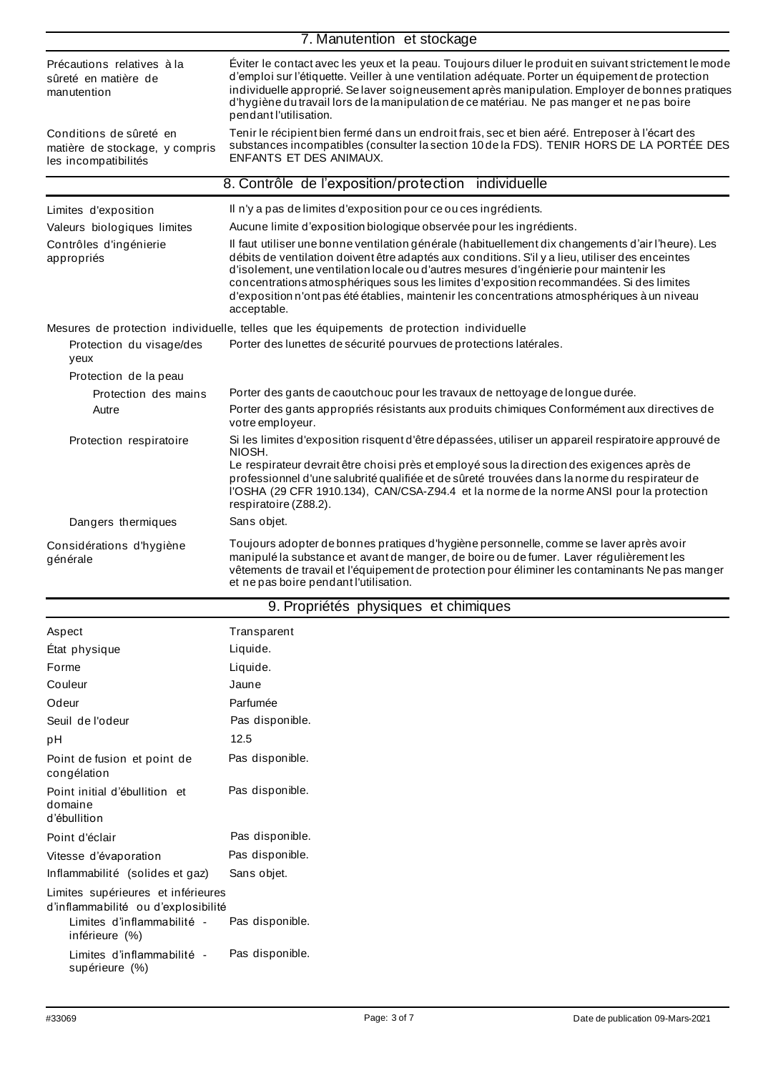|                                                                                   | 7. Manutention et stockage                                                                                                                                                                                                                                                                                                                                                                                                                                                                                    |  |  |  |  |
|-----------------------------------------------------------------------------------|---------------------------------------------------------------------------------------------------------------------------------------------------------------------------------------------------------------------------------------------------------------------------------------------------------------------------------------------------------------------------------------------------------------------------------------------------------------------------------------------------------------|--|--|--|--|
| Précautions relatives à la<br>sûreté en matière de<br>manutention                 | Éviter le contact avec les yeux et la peau. Toujours diluer le produit en suivant strictement le mode<br>d'emploi sur l'étiquette. Veiller à une ventilation adéquate. Porter un équipement de protection<br>individuelle approprié. Se laver soigneusement après manipulation. Employer de bonnes pratiques<br>d'hygiène du travail lors de la manipulation de ce matériau. Ne pas manger et ne pas boire<br>pendant l'utilisation.                                                                          |  |  |  |  |
| Conditions de sûreté en<br>matière de stockage, y compris<br>les incompatibilités | Tenir le récipient bien fermé dans un endroit frais, sec et bien aéré. Entreposer à l'écart des<br>substances incompatibles (consulter la section 10 de la FDS). TENIR HORS DE LA PORTÉE DES<br>ENFANTS ET DES ANIMAUX.                                                                                                                                                                                                                                                                                       |  |  |  |  |
| 8. Contrôle de l'exposition/protection individuelle                               |                                                                                                                                                                                                                                                                                                                                                                                                                                                                                                               |  |  |  |  |
| Limites d'exposition<br>Valeurs biologiques limites                               | Il n'y a pas de limites d'exposition pour ce ou ces ingrédients.<br>Aucune limite d'exposition biologique observée pour les ingrédients.                                                                                                                                                                                                                                                                                                                                                                      |  |  |  |  |
| Contrôles d'ingénierie<br>appropriés                                              | Il faut utiliser une bonne ventilation générale (habituellement dix changements d'air l'heure). Les<br>débits de ventilation doivent être adaptés aux conditions. S'il y a lieu, utiliser des enceintes<br>d'isolement, une ventilation locale ou d'autres mesures d'ingénierie pour maintenir les<br>concentrations atmosphériques sous les limites d'exposition recommandées. Si des limites<br>d'exposition n'ont pas été établies, maintenir les concentrations atmosphériques à un niveau<br>acceptable. |  |  |  |  |
|                                                                                   | Mesures de protection individuelle, telles que les équipements de protection individuelle                                                                                                                                                                                                                                                                                                                                                                                                                     |  |  |  |  |
| Protection du visage/des<br>yeux                                                  | Porter des lunettes de sécurité pourvues de protections latérales.                                                                                                                                                                                                                                                                                                                                                                                                                                            |  |  |  |  |
| Protection de la peau                                                             |                                                                                                                                                                                                                                                                                                                                                                                                                                                                                                               |  |  |  |  |
| Protection des mains                                                              | Porter des gants de caoutchouc pour les travaux de nettoyage de longue durée.                                                                                                                                                                                                                                                                                                                                                                                                                                 |  |  |  |  |
| Autre                                                                             | Porter des gants appropriés résistants aux produits chimiques Conformément aux directives de<br>votre employeur.                                                                                                                                                                                                                                                                                                                                                                                              |  |  |  |  |
| Protection respiratoire                                                           | Si les limites d'exposition risquent d'être dépassées, utiliser un appareil respiratoire approuvé de<br>NIOSH.                                                                                                                                                                                                                                                                                                                                                                                                |  |  |  |  |
|                                                                                   | Le respirateur devrait être choisi près et employé sous la direction des exigences après de<br>professionnel d'une salubrité qualifiée et de sûreté trouvées dans la norme du respirateur de<br>l'OSHA (29 CFR 1910.134), CAN/CSA-Z94.4 et la norme de la norme ANSI pour la protection<br>respiratoire (Z88.2).                                                                                                                                                                                              |  |  |  |  |
| Dangers thermiques                                                                | Sans objet.                                                                                                                                                                                                                                                                                                                                                                                                                                                                                                   |  |  |  |  |
| Considérations d'hygiène<br>générale                                              | Toujours adopter de bonnes pratiques d'hygiène personnelle, comme se laver après avoir<br>manipulé la substance et avant de manger, de boire ou de fumer. Laver régulièrement les<br>vêtements de travail et l'équipement de protection pour éliminer les contaminants Ne pas manger<br>et ne pas boire pendant l'utilisation.                                                                                                                                                                                |  |  |  |  |
|                                                                                   | 9. Propriétés physiques et chimiques                                                                                                                                                                                                                                                                                                                                                                                                                                                                          |  |  |  |  |

| Aspect                                                                                                                    | Transparent     |
|---------------------------------------------------------------------------------------------------------------------------|-----------------|
| État physique                                                                                                             | Liquide.        |
| Forme                                                                                                                     | Liquide.        |
| Couleur                                                                                                                   | Jaune           |
| Odeur                                                                                                                     | Parfumée        |
| Seuil de l'odeur                                                                                                          | Pas disponible. |
| pН                                                                                                                        | 12.5            |
| Point de fusion et point de<br>congélation                                                                                | Pas disponible. |
| Point initial d'ébullition et<br>domaine<br>d'ébullition                                                                  | Pas disponible. |
| Point d'éclair                                                                                                            | Pas disponible. |
| Vitesse d'évaporation                                                                                                     | Pas disponible. |
| Inflammabilité (solides et gaz)                                                                                           | Sans objet.     |
| Limites supérieures et inférieures<br>d'inflammabilité ou d'explosibilité<br>Limites d'inflammabilité -<br>inférieure (%) | Pas disponible. |
| Limites d'inflammabilité -<br>supérieure (%)                                                                              | Pas disponible. |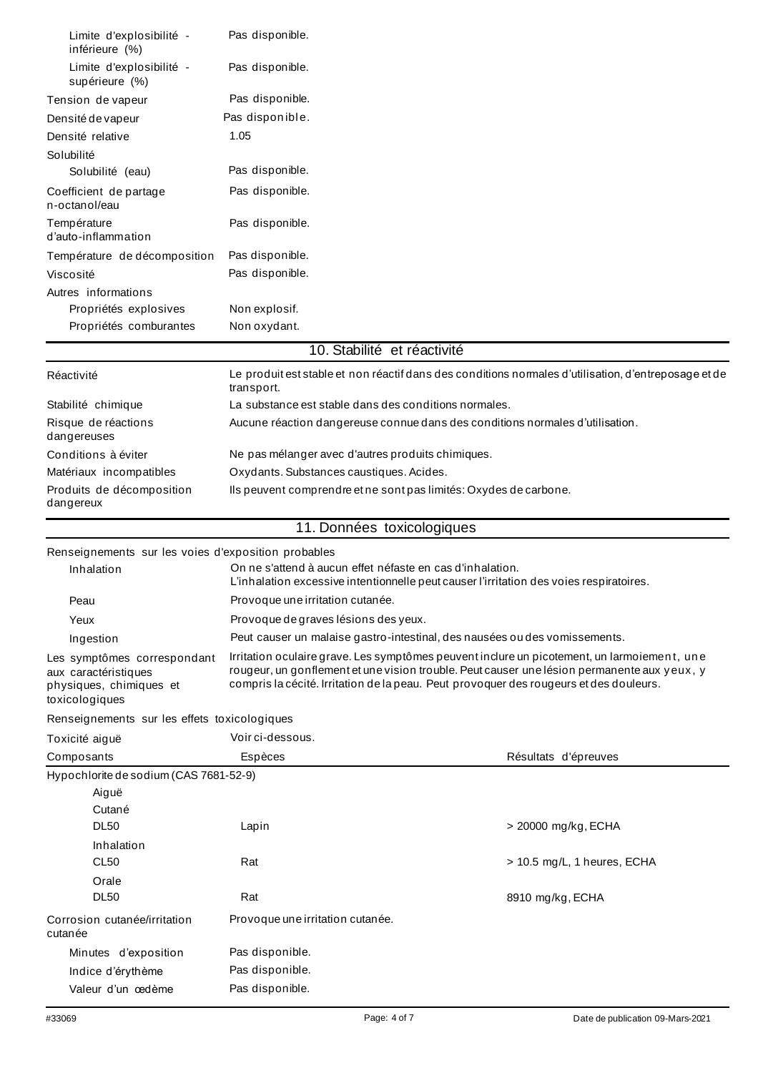| Limite d'explosibilité -<br>inférieure (%)                                                       | Pas disponible.                                                                                                                                                                                                                                                                      |                                                                                                      |  |  |
|--------------------------------------------------------------------------------------------------|--------------------------------------------------------------------------------------------------------------------------------------------------------------------------------------------------------------------------------------------------------------------------------------|------------------------------------------------------------------------------------------------------|--|--|
| Limite d'explosibilité -<br>supérieure (%)                                                       | Pas disponible.                                                                                                                                                                                                                                                                      |                                                                                                      |  |  |
| Tension de vapeur                                                                                | Pas disponible.                                                                                                                                                                                                                                                                      |                                                                                                      |  |  |
| Densité de vapeur                                                                                | Pas disponible.                                                                                                                                                                                                                                                                      |                                                                                                      |  |  |
| Densité relative                                                                                 | 1.05                                                                                                                                                                                                                                                                                 |                                                                                                      |  |  |
| Solubilité                                                                                       |                                                                                                                                                                                                                                                                                      |                                                                                                      |  |  |
| Solubilité (eau)                                                                                 | Pas disponible.                                                                                                                                                                                                                                                                      |                                                                                                      |  |  |
| Coefficient de partage<br>n-octanol/eau                                                          | Pas disponible.                                                                                                                                                                                                                                                                      |                                                                                                      |  |  |
| Température<br>d'auto-inflammation                                                               | Pas disponible.                                                                                                                                                                                                                                                                      |                                                                                                      |  |  |
| Température de décomposition                                                                     | Pas disponible.                                                                                                                                                                                                                                                                      |                                                                                                      |  |  |
| Viscosité                                                                                        | Pas disponible.                                                                                                                                                                                                                                                                      |                                                                                                      |  |  |
| Autres informations<br>Propriétés explosives                                                     | Non explosif.                                                                                                                                                                                                                                                                        |                                                                                                      |  |  |
| Propriétés comburantes                                                                           | Non oxydant.                                                                                                                                                                                                                                                                         |                                                                                                      |  |  |
|                                                                                                  | 10. Stabilité et réactivité                                                                                                                                                                                                                                                          |                                                                                                      |  |  |
|                                                                                                  |                                                                                                                                                                                                                                                                                      |                                                                                                      |  |  |
| Réactivité                                                                                       | transport.                                                                                                                                                                                                                                                                           | Le produit est stable et non réactif dans des conditions normales d'utilisation, d'entreposage et de |  |  |
| Stabilité chimique                                                                               | La substance est stable dans des conditions normales.                                                                                                                                                                                                                                |                                                                                                      |  |  |
| Risque de réactions<br>dangereuses                                                               | Aucune réaction dangereuse connue dans des conditions normales d'utilisation.                                                                                                                                                                                                        |                                                                                                      |  |  |
| Conditions à éviter                                                                              | Ne pas mélanger avec d'autres produits chimiques.                                                                                                                                                                                                                                    |                                                                                                      |  |  |
| Matériaux incompatibles                                                                          | Oxydants. Substances caustiques. Acides.                                                                                                                                                                                                                                             |                                                                                                      |  |  |
| Produits de décomposition<br>dangereux                                                           | Ils peuvent comprendre et ne sont pas limités: Oxydes de carbone.                                                                                                                                                                                                                    |                                                                                                      |  |  |
|                                                                                                  | 11. Données toxicologiques                                                                                                                                                                                                                                                           |                                                                                                      |  |  |
| Renseignements sur les voies d'exposition probables                                              |                                                                                                                                                                                                                                                                                      |                                                                                                      |  |  |
| Inhalation                                                                                       | On ne s'attend à aucun effet néfaste en cas d'inhalation.<br>L'inhalation excessive intentionnelle peut causer l'irritation des voies respiratoires.                                                                                                                                 |                                                                                                      |  |  |
| Peau                                                                                             | Provoque une irritation cutanée.                                                                                                                                                                                                                                                     |                                                                                                      |  |  |
| Yeux                                                                                             | Provoque de graves lésions des yeux.                                                                                                                                                                                                                                                 |                                                                                                      |  |  |
| Ingestion                                                                                        | Peut causer un malaise gastro-intestinal, des nausées ou des vomissements.                                                                                                                                                                                                           |                                                                                                      |  |  |
| Les symptômes correspondant<br>aux caractéristiques<br>physiques, chimiques et<br>toxicologiques | Irritation oculaire grave. Les symptômes peuvent inclure un picotement, un larmoiement, une<br>rougeur, un gonflement et une vision trouble. Peut causer une lésion permanente aux yeux, y<br>compris la cécité. Irritation de la peau. Peut provoquer des rougeurs et des douleurs. |                                                                                                      |  |  |
| Renseignements sur les effets toxicologiques                                                     |                                                                                                                                                                                                                                                                                      |                                                                                                      |  |  |
| Toxicité aiguë                                                                                   | Voir ci-dessous.                                                                                                                                                                                                                                                                     |                                                                                                      |  |  |
| Composants                                                                                       | Espèces                                                                                                                                                                                                                                                                              | Résultats d'épreuves                                                                                 |  |  |
| Hypochlorite de sodium (CAS 7681-52-9)                                                           |                                                                                                                                                                                                                                                                                      |                                                                                                      |  |  |
| Aiguë                                                                                            |                                                                                                                                                                                                                                                                                      |                                                                                                      |  |  |
| Cutané                                                                                           |                                                                                                                                                                                                                                                                                      |                                                                                                      |  |  |
| <b>DL50</b>                                                                                      | Lapin                                                                                                                                                                                                                                                                                | > 20000 mg/kg, ECHA                                                                                  |  |  |
| Inhalation                                                                                       |                                                                                                                                                                                                                                                                                      |                                                                                                      |  |  |
| <b>CL50</b>                                                                                      | Rat                                                                                                                                                                                                                                                                                  | > 10.5 mg/L, 1 heures, ECHA                                                                          |  |  |
| Orale<br><b>DL50</b>                                                                             | Rat                                                                                                                                                                                                                                                                                  | 8910 mg/kg, ECHA                                                                                     |  |  |
| Corrosion cutanée/irritation<br>cutanée                                                          | Provoque une irritation cutanée.                                                                                                                                                                                                                                                     |                                                                                                      |  |  |
| Minutes d'exposition                                                                             | Pas disponible.                                                                                                                                                                                                                                                                      |                                                                                                      |  |  |
|                                                                                                  |                                                                                                                                                                                                                                                                                      |                                                                                                      |  |  |
| Indice d'érythème                                                                                | Pas disponible.                                                                                                                                                                                                                                                                      |                                                                                                      |  |  |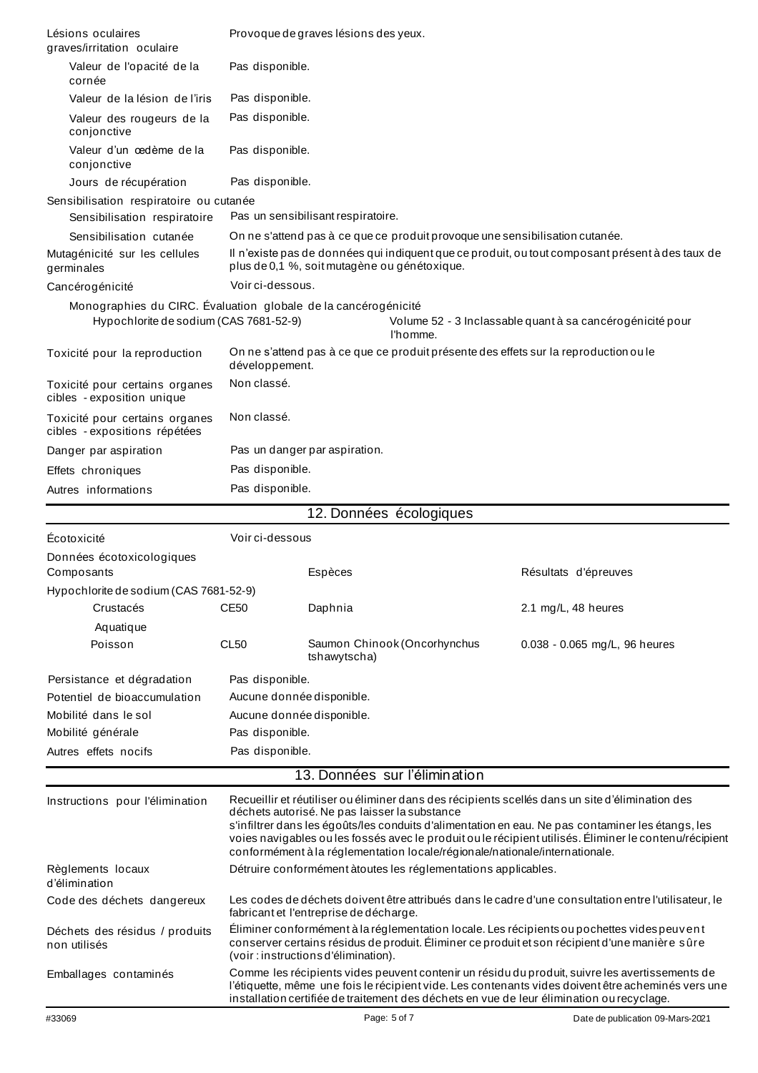| Lésions oculaires<br>graves/irritation oculaire                                                          | Provoque de graves lésions des yeux.                                                                                                                                                                                                                                                              |                                                                                                                                                                                                                                      |                                                           |  |  |  |
|----------------------------------------------------------------------------------------------------------|---------------------------------------------------------------------------------------------------------------------------------------------------------------------------------------------------------------------------------------------------------------------------------------------------|--------------------------------------------------------------------------------------------------------------------------------------------------------------------------------------------------------------------------------------|-----------------------------------------------------------|--|--|--|
| Valeur de l'opacité de la<br>cornée                                                                      | Pas disponible.                                                                                                                                                                                                                                                                                   |                                                                                                                                                                                                                                      |                                                           |  |  |  |
| Valeur de la lésion de l'iris                                                                            | Pas disponible.                                                                                                                                                                                                                                                                                   |                                                                                                                                                                                                                                      |                                                           |  |  |  |
| Valeur des rougeurs de la<br>conjonctive                                                                 | Pas disponible.                                                                                                                                                                                                                                                                                   |                                                                                                                                                                                                                                      |                                                           |  |  |  |
| Valeur d'un cedème de la<br>conjonctive                                                                  | Pas disponible.                                                                                                                                                                                                                                                                                   |                                                                                                                                                                                                                                      |                                                           |  |  |  |
| Jours de récupération                                                                                    | Pas disponible.                                                                                                                                                                                                                                                                                   |                                                                                                                                                                                                                                      |                                                           |  |  |  |
| Sensibilisation respiratoire ou cutanée                                                                  |                                                                                                                                                                                                                                                                                                   |                                                                                                                                                                                                                                      |                                                           |  |  |  |
| Sensibilisation respiratoire                                                                             | Pas un sensibilisant respiratoire.                                                                                                                                                                                                                                                                |                                                                                                                                                                                                                                      |                                                           |  |  |  |
| Sensibilisation cutanée                                                                                  |                                                                                                                                                                                                                                                                                                   | On ne s'attend pas à ce que ce produit provoque une sensibilisation cutanée.                                                                                                                                                         |                                                           |  |  |  |
| Mutagénicité sur les cellules<br>germinales                                                              |                                                                                                                                                                                                                                                                                                   | Il n'existe pas de données qui indiquent que ce produit, ou tout composant présent à des taux de<br>plus de 0,1 %, soit mutagène ou génétoxique.                                                                                     |                                                           |  |  |  |
| Cancérogénicité                                                                                          | Voir ci-dessous.                                                                                                                                                                                                                                                                                  |                                                                                                                                                                                                                                      |                                                           |  |  |  |
| Monographies du CIRC. Évaluation globale de la cancérogénicité<br>Hypochlorite de sodium (CAS 7681-52-9) |                                                                                                                                                                                                                                                                                                   | l'homme.                                                                                                                                                                                                                             | Volume 52 - 3 Inclassable quant à sa cancérogénicité pour |  |  |  |
| Toxicité pour la reproduction                                                                            | développement.                                                                                                                                                                                                                                                                                    | On ne s'attend pas à ce que ce produit présente des effets sur la reproduction ou le                                                                                                                                                 |                                                           |  |  |  |
| Toxicité pour certains organes<br>cibles - exposition unique                                             | Non classé.                                                                                                                                                                                                                                                                                       |                                                                                                                                                                                                                                      |                                                           |  |  |  |
| Toxicité pour certains organes<br>cibles - expositions répétées                                          | Non classé.                                                                                                                                                                                                                                                                                       |                                                                                                                                                                                                                                      |                                                           |  |  |  |
| Danger par aspiration                                                                                    |                                                                                                                                                                                                                                                                                                   | Pas un danger par aspiration.                                                                                                                                                                                                        |                                                           |  |  |  |
| Effets chroniques                                                                                        | Pas disponible.                                                                                                                                                                                                                                                                                   |                                                                                                                                                                                                                                      |                                                           |  |  |  |
| Autres informations                                                                                      | Pas disponible.                                                                                                                                                                                                                                                                                   |                                                                                                                                                                                                                                      |                                                           |  |  |  |
|                                                                                                          |                                                                                                                                                                                                                                                                                                   | 12. Données écologiques                                                                                                                                                                                                              |                                                           |  |  |  |
|                                                                                                          |                                                                                                                                                                                                                                                                                                   |                                                                                                                                                                                                                                      |                                                           |  |  |  |
| Écotoxicité                                                                                              | Voir ci-dessous                                                                                                                                                                                                                                                                                   |                                                                                                                                                                                                                                      |                                                           |  |  |  |
| Données écotoxicologiques<br>Composants                                                                  |                                                                                                                                                                                                                                                                                                   | Espèces                                                                                                                                                                                                                              | Résultats d'épreuves                                      |  |  |  |
| Hypochlorite de sodium (CAS 7681-52-9)                                                                   |                                                                                                                                                                                                                                                                                                   |                                                                                                                                                                                                                                      |                                                           |  |  |  |
| Crustacés                                                                                                | CE50                                                                                                                                                                                                                                                                                              | Daphnia                                                                                                                                                                                                                              | 2.1 mg/L, 48 heures                                       |  |  |  |
| Aquatique                                                                                                |                                                                                                                                                                                                                                                                                                   |                                                                                                                                                                                                                                      |                                                           |  |  |  |
| Poisson                                                                                                  | CL <sub>50</sub>                                                                                                                                                                                                                                                                                  | Saumon Chinook (Oncorhynchus<br>tshawytscha)                                                                                                                                                                                         | 0.038 - 0.065 mg/L, 96 heures                             |  |  |  |
| Persistance et dégradation                                                                               | Pas disponible.                                                                                                                                                                                                                                                                                   |                                                                                                                                                                                                                                      |                                                           |  |  |  |
| Potentiel de bioaccumulation                                                                             |                                                                                                                                                                                                                                                                                                   | Aucune donnée disponible.                                                                                                                                                                                                            |                                                           |  |  |  |
| Mobilité dans le sol                                                                                     |                                                                                                                                                                                                                                                                                                   | Aucune donnée disponible.                                                                                                                                                                                                            |                                                           |  |  |  |
| Mobilité générale                                                                                        | Pas disponible.                                                                                                                                                                                                                                                                                   |                                                                                                                                                                                                                                      |                                                           |  |  |  |
| Autres effets nocifs                                                                                     | Pas disponible.                                                                                                                                                                                                                                                                                   |                                                                                                                                                                                                                                      |                                                           |  |  |  |
|                                                                                                          |                                                                                                                                                                                                                                                                                                   | 13. Données sur l'élimination                                                                                                                                                                                                        |                                                           |  |  |  |
| Instructions pour l'élimination                                                                          |                                                                                                                                                                                                                                                                                                   | Recueillir et réutiliser ou éliminer dans des récipients scellés dans un site d'élimination des<br>déchets autorisé. Ne pas laisser la substance                                                                                     |                                                           |  |  |  |
|                                                                                                          | s'infiltrer dans les égoûts/les conduits d'alimentation en eau. Ne pas contaminer les étangs, les<br>voies navigables ou les fossés avec le produit ou le récipient utilisés. Éliminer le contenu/récipient<br>conformément à la réglementation locale/régionale/nationale/internationale.        |                                                                                                                                                                                                                                      |                                                           |  |  |  |
| Règlements locaux<br>d'élimination                                                                       | Détruire conformément àtoutes les réglementations applicables.                                                                                                                                                                                                                                    |                                                                                                                                                                                                                                      |                                                           |  |  |  |
| Code des déchets dangereux                                                                               |                                                                                                                                                                                                                                                                                                   | Les codes de déchets doivent être attribués dans le cadre d'une consultation entre l'utilisateur, le<br>fabricant et l'entreprise de décharge.                                                                                       |                                                           |  |  |  |
| Déchets des résidus / produits<br>non utilisés                                                           |                                                                                                                                                                                                                                                                                                   | Éliminer conformément à la réglementation locale. Les récipients ou pochettes vides peuvent<br>conserver certains résidus de produit. Éliminer ce produit et son récipient d'une manière sûre<br>(voir: instructions d'élimination). |                                                           |  |  |  |
| Emballages contaminés                                                                                    | Comme les récipients vides peuvent contenir un résidu du produit, suivre les avertissements de<br>l'étiquette, même une fois le récipient vide. Les contenants vides doivent être acheminés vers une<br>installation certifiée de traitement des déchets en vue de leur élimination ou recyclage. |                                                                                                                                                                                                                                      |                                                           |  |  |  |
| #33069                                                                                                   |                                                                                                                                                                                                                                                                                                   | Page: 5 of 7                                                                                                                                                                                                                         | Date de publication 09-Mars-2021                          |  |  |  |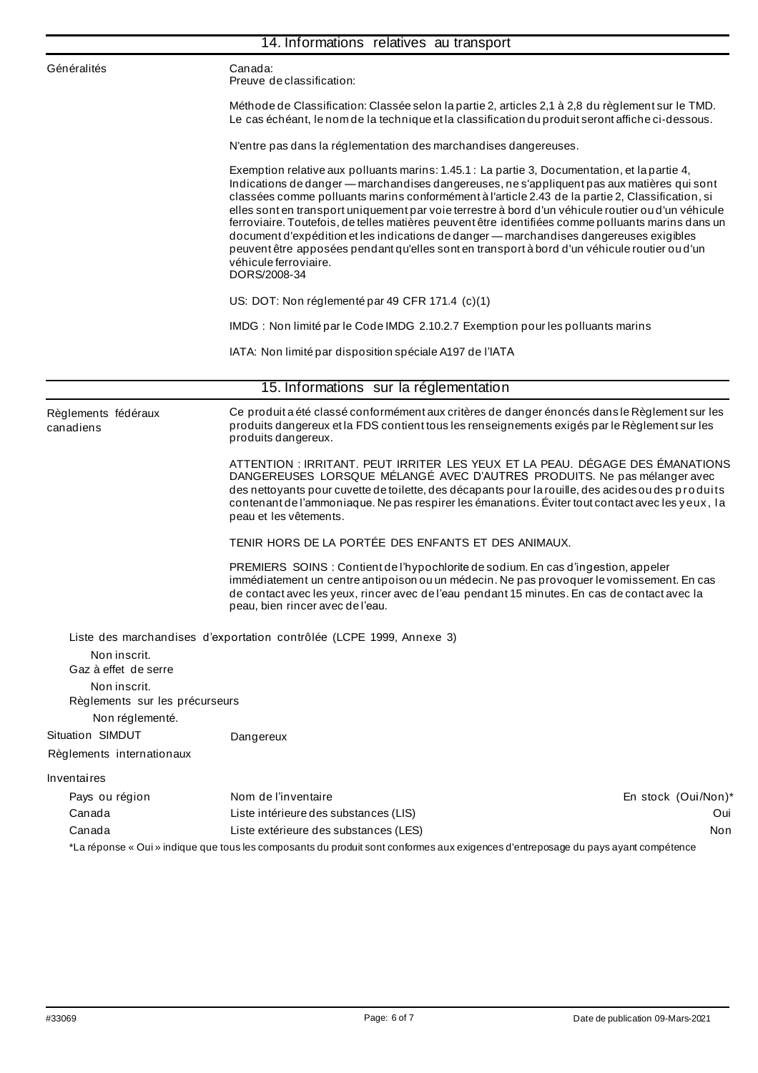|                                                      | 14. Informations relatives au transport                                                                                                                                                                                                                                                                                                                                                                                                                                                                                                                                                                                                                                                                                                            |
|------------------------------------------------------|----------------------------------------------------------------------------------------------------------------------------------------------------------------------------------------------------------------------------------------------------------------------------------------------------------------------------------------------------------------------------------------------------------------------------------------------------------------------------------------------------------------------------------------------------------------------------------------------------------------------------------------------------------------------------------------------------------------------------------------------------|
| Généralités                                          | Canada:<br>Preuve de classification:                                                                                                                                                                                                                                                                                                                                                                                                                                                                                                                                                                                                                                                                                                               |
|                                                      | Méthode de Classification: Classée selon la partie 2, articles 2,1 à 2,8 du règlement sur le TMD.<br>Le cas échéant, le nom de la technique et la classification du produit seront affiche ci-dessous.                                                                                                                                                                                                                                                                                                                                                                                                                                                                                                                                             |
|                                                      | N'entre pas dans la réglementation des marchandises dangereuses.                                                                                                                                                                                                                                                                                                                                                                                                                                                                                                                                                                                                                                                                                   |
|                                                      | Exemption relative aux polluants marins: 1.45.1 : La partie 3, Documentation, et la partie 4,<br>Indications de danger - marchandises dangereuses, ne s'appliquent pas aux matières qui sont<br>classées comme polluants marins conformément à l'article 2.43 de la partie 2, Classification, si<br>elles sont en transport uniquement par voie terrestre à bord d'un véhicule routier ou d'un véhicule<br>ferroviaire. Toutefois, de telles matières peuvent être identifiées comme polluants marins dans un<br>document d'expédition et les indications de danger — marchandises dangereuses exigibles<br>peuvent être apposées pendant qu'elles sont en transport à bord d'un véhicule routier ou d'un<br>véhicule ferroviaire.<br>DORS/2008-34 |
|                                                      | US: DOT: Non réglementé par 49 CFR 171.4 (c)(1)                                                                                                                                                                                                                                                                                                                                                                                                                                                                                                                                                                                                                                                                                                    |
|                                                      | IMDG: Non limité par le Code IMDG 2.10.2.7 Exemption pour les polluants marins                                                                                                                                                                                                                                                                                                                                                                                                                                                                                                                                                                                                                                                                     |
|                                                      | IATA: Non limité par disposition spéciale A197 de l'IATA                                                                                                                                                                                                                                                                                                                                                                                                                                                                                                                                                                                                                                                                                           |
|                                                      | 15. Informations sur la réglementation                                                                                                                                                                                                                                                                                                                                                                                                                                                                                                                                                                                                                                                                                                             |
| Règlements fédéraux<br>canadiens                     | Ce produit a été classé conformément aux critères de danger énoncés dans le Règlement sur les<br>produits dangereux et la FDS contient tous les renseignements exigés par le Règlement sur les<br>produits dangereux.                                                                                                                                                                                                                                                                                                                                                                                                                                                                                                                              |
|                                                      | ATTENTION : IRRITANT. PEUT IRRITER LES YEUX ET LA PEAU. DÉGAGE DES ÉMANATIONS<br>DANGEREUSES LORSQUE MÉLANGÉ AVEC D'AUTRES PRODUITS. Ne pas mélanger avec<br>des nettoyants pour cuvette de toilette, des décapants pour la rouille, des acides ou des produits<br>contenant de l'ammoniaque. Ne pas respirer les émanations. Éviter tout contact avec les yeux, la<br>peau et les vêtements.                                                                                                                                                                                                                                                                                                                                                      |
|                                                      | TENIR HORS DE LA PORTÉE DES ENFANTS ET DES ANIMAUX.                                                                                                                                                                                                                                                                                                                                                                                                                                                                                                                                                                                                                                                                                                |
|                                                      | PREMIERS SOINS: Contient de l'hypochlorite de sodium. En cas d'ingestion, appeler<br>immédiatement un centre antipoison ou un médecin. Ne pas provoquer le vomissement. En cas<br>de contact avec les yeux, rincer avec de l'eau pendant 15 minutes. En cas de contact avec la<br>peau, bien rincer avec de l'eau.                                                                                                                                                                                                                                                                                                                                                                                                                                 |
|                                                      | Liste des marchandises d'exportation contrôlée (LCPE 1999, Annexe 3)                                                                                                                                                                                                                                                                                                                                                                                                                                                                                                                                                                                                                                                                               |
| Non inscrit.<br>Gaz à effet de serre<br>Non inscrit. |                                                                                                                                                                                                                                                                                                                                                                                                                                                                                                                                                                                                                                                                                                                                                    |
| Règlements sur les précurseurs<br>Non réglementé.    |                                                                                                                                                                                                                                                                                                                                                                                                                                                                                                                                                                                                                                                                                                                                                    |
| Situation SIMDUT                                     | Dangereux                                                                                                                                                                                                                                                                                                                                                                                                                                                                                                                                                                                                                                                                                                                                          |
| Règlements internationaux                            |                                                                                                                                                                                                                                                                                                                                                                                                                                                                                                                                                                                                                                                                                                                                                    |
| Inventaires                                          |                                                                                                                                                                                                                                                                                                                                                                                                                                                                                                                                                                                                                                                                                                                                                    |
| Pays ou région                                       | Nom de l'inventaire<br>En stock (Oui/Non)*                                                                                                                                                                                                                                                                                                                                                                                                                                                                                                                                                                                                                                                                                                         |
| Canada                                               | Liste intérieure des substances (LIS)<br>Oui                                                                                                                                                                                                                                                                                                                                                                                                                                                                                                                                                                                                                                                                                                       |
| Canada                                               | Liste extérieure des substances (LES)<br>Non                                                                                                                                                                                                                                                                                                                                                                                                                                                                                                                                                                                                                                                                                                       |
|                                                      | *La réponse « Oui » indique que tous les composants du produit sont conformes aux exigences d'entreposage du pays ayant compétence                                                                                                                                                                                                                                                                                                                                                                                                                                                                                                                                                                                                                 |